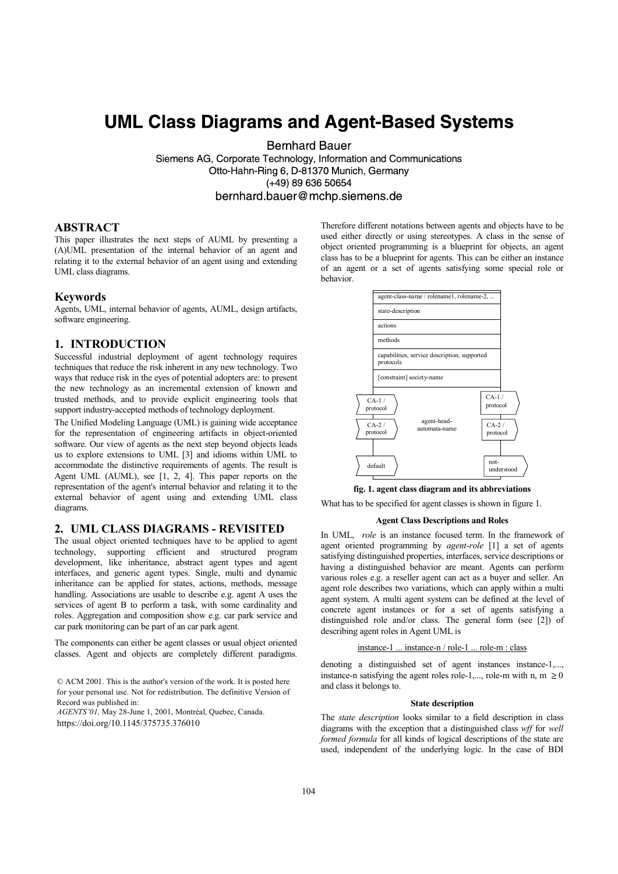# **UML Class Diagrams and Agent-Based Systems**

**Bernhard Bauer** 

Siemens AG, Corporate Technology, Information and Communications Otto-Hahn-Ring 6, D-81370 Munich, Germany  $(+49)$  89 636 50654 bernhard.bauer@mchp.siemens.de

## ABSTRACT

This paper illustrates the next steps of AUML by presenting a (A)UML presentation of the internal behavior of an agent and relating it to the external behavior of an agent using and extending UML class diagrams.

### Keywords

Agents, UML, internal behavior of agents, AUML, design artifacts, software engineering.

## 1. INTRODUCTION

Successful industrial deployment of agent technology requires techniques that reduce the risk inherent in any new technology. Two ways that reduce risk in the eyes of potential adopters are: to present the new technology as an incremental extension of known and trusted methods, and to provide explicit engineering tools that support industry-accepted methods of technology deployment.

The Unified Modeling Language (UML) is gaining wide acceptance for the representation of engineering artifacts in object-oriented software. Our view of agents as the next step beyond objects leads us to explore extensions to UML [3] and idioms within UML to accommodate the distinctive requirements of agents. The result is Agent UML (AUML), see [1, 2, 4]. This paper reports on the representation of the agent's internal behavior and relating it to the external behavior of agent using and extending UML class diagrams.

## 2. UML CLASS DIAGRAMS - REVISITED

The usual object oriented techniques have to be applied to agent technology, supporting efficient and structured program development, like inheritance, abstract agent types and agent interfaces, and generic agent types. Single, multi and dynamic inheritance can be applied for states, actions, methods, message handling. Associations are usable to describe e.g. agent A uses the services of agent B to perform a task, with some cardinality and roles. Aggregation and composition show e.g. car park service and car park monitoring can be part of an car park agent.

The components can either be agent classes or usual object oriented classes. Agent and objects are completely different paradigms.

© ACM 2001. This is the author's version of the work. It is posted here for your personal use. Not for redistribution. The definitive Version of Record was published in:

AGENTS'01, May 28-June 1, 2001, Montréal, Quebec, Canada. https://doi.org/10.1145/375735.376010

Therefore different notations between agents and objects have to be used either directly or using stereotypes. A class in the sense of object oriented programming is a blueprint for objects, an agent class has to be a blueprint for agents. This can be either an instance of an agent or a set of agents satisfying some special role or behavior.



#### fig. 1. agent class diagram and its abbreviations

What has to be specified for agent classes is shown in figure 1.

#### Agent Class Descriptions and Roles

In UML, role is an instance focused term. In the framework of agent oriented programming by agent-role [1] a set of agents satisfying distinguished properties, interfaces, service descriptions or having a distinguished behavior are meant. Agents can perform various roles e.g. a reseller agent can act as a buyer and seller. An agent role describes two variations, which can apply within a multi agent system. A multi agent system can be defined at the level of concrete agent instances or for a set of agents satisfying a distinguished role and/or class. The general form (see [2]) of describing agent roles in Agent UML is

#### instance-1 ... instance-n / role-1 ... role-m : class

denoting a distinguished set of agent instances instance-1,..., instance-n satisfying the agent roles role-1,..., role-m with n, m  $\geq 0$ and class it belongs to.

#### State description

The state description looks similar to a field description in class diagrams with the exception that a distinguished class wff for well formed formula for all kinds of logical descriptions of the state are used, independent of the underlying logic. In the case of BDI